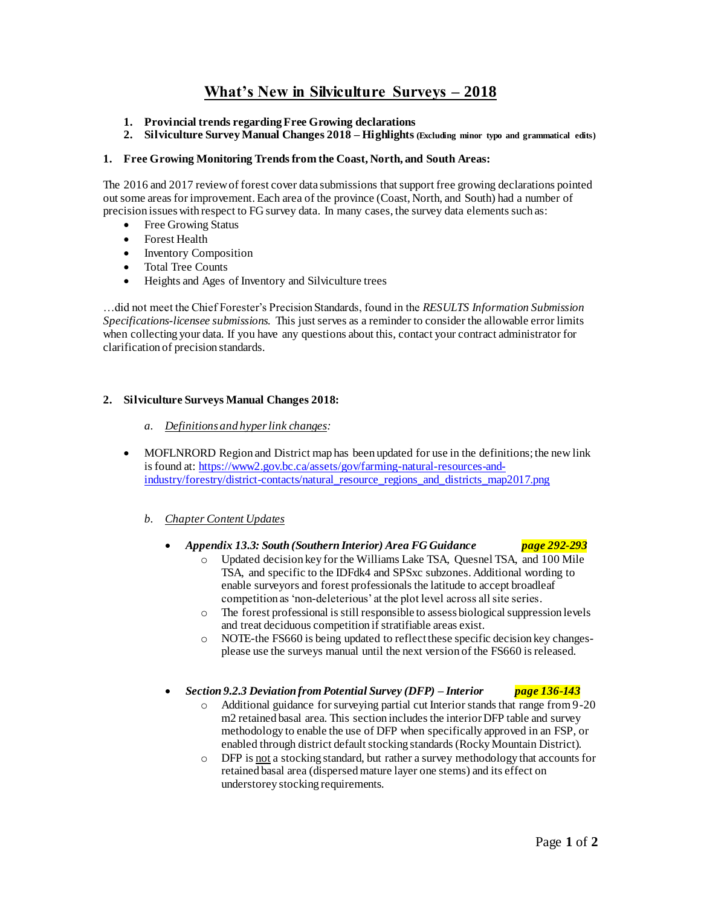# **What's New in Silviculture Surveys – 2018**

- **1. Provincial trends regarding Free Growing declarations**
- **2. Silviculture Survey Manual Changes 2018 – Highlights (Excluding minor typo and grammatical edits)**

### **1. Free Growing Monitoring Trends from the Coast, North, and South Areas:**

The 2016 and 2017 review of forest cover data submissions that support free growing declarations pointed out some areas for improvement. Each area of the province (Coast, North, and South) had a number of precision issues with respect to FG survey data. In many cases, the survey data elements such as:

- Free Growing Status
- Forest Health
- Inventory Composition
- Total Tree Counts
- Heights and Ages of Inventory and Silviculture trees

…did not meet the Chief Forester's Precision Standards, found in the *RESULTS Information Submission Specifications-licensee submissions.* This just serves as a reminder to consider the allowable error limits when collecting your data. If you have any questions about this, contact your contract administrator for clarification of precision standards.

### **2. Silviculture Surveys Manual Changes 2018:**

- *a. Definitions and hyper link changes:*
- MOFLNRORD Region and District map has been updated for use in the definitions; the new link is found at: [https://www2.gov.bc.ca/assets/gov/farming-natural-resources-and](https://www2.gov.bc.ca/assets/gov/farming-natural-resources-and-industry/forestry/district-contacts/natural_resource_regions_and_districts_map2017.png)[industry/forestry/district-contacts/natural\\_resource\\_regions\\_and\\_districts\\_map2017.png](https://www2.gov.bc.ca/assets/gov/farming-natural-resources-and-industry/forestry/district-contacts/natural_resource_regions_and_districts_map2017.png)

## *b. Chapter Content Updates*

#### *Appendix 13.3: South (Southern Interior) Area FG Guidance page 292-293*

- o Updated decision key for the Williams Lake TSA, Quesnel TSA, and 100 Mile TSA, and specific to the IDFdk4 and SPSxc subzones. Additional wording to enable surveyors and forest professionals the latitude to accept broadleaf competition as 'non-deleterious' at the plot level across all site series.
- o The forest professional is still responsible to assess biological suppression levels and treat deciduous competition if stratifiable areas exist.
- o NOTE-the FS660 is being updated to reflect these specific decision key changesplease use the surveys manual until the next version of the FS660 is released.

#### *Section 9.2.3 Deviation from Potential Survey (DFP) – Interior page 136-143*

- o Additional guidance for surveying partial cut Interior stands that range from 9-20 m2 retained basal area. This section includes the interior DFP table and survey methodology to enable the use of DFP when specifically approved in an FSP, or enabled through district default stocking standards (Rocky Mountain District).
- o DFP is not a stocking standard, but rather a survey methodology that accounts for retained basal area (dispersed mature layer one stems) and its effect on understorey stocking requirements.